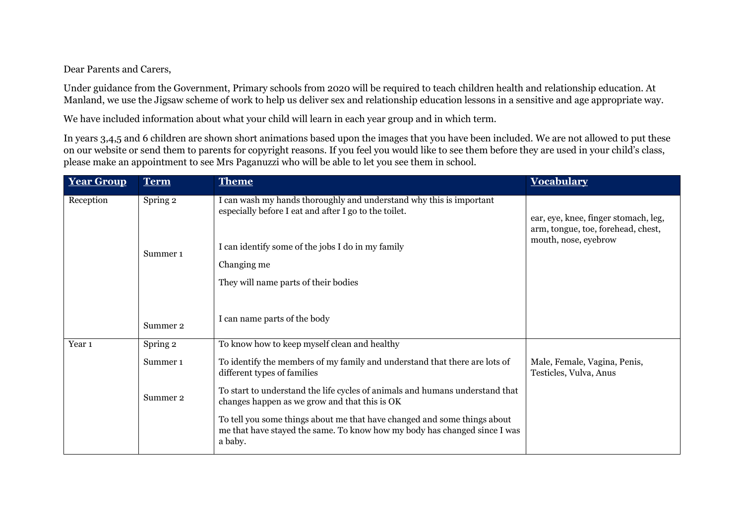## Dear Parents and Carers,

Under guidance from the Government, Primary schools from 2020 will be required to teach children health and relationship education. At Manland, we use the Jigsaw scheme of work to help us deliver sex and relationship education lessons in a sensitive and age appropriate way.

We have included information about what your child will learn in each year group and in which term.

In years 3,4,5 and 6 children are shown short animations based upon the images that you have been included. We are not allowed to put these on our website or send them to parents for copyright reasons. If you feel you would like to see them before they are used in your child's class, please make an appointment to see Mrs Paganuzzi who will be able to let you see them in school.

| <b>Year Group</b> | <b>Term</b>         | <b>Theme</b>                                                                                                                                                     | <b>Vocabulary</b>                                                          |
|-------------------|---------------------|------------------------------------------------------------------------------------------------------------------------------------------------------------------|----------------------------------------------------------------------------|
| Reception         | Spring 2            | I can wash my hands thoroughly and understand why this is important<br>especially before I eat and after I go to the toilet.                                     | ear, eye, knee, finger stomach, leg,<br>arm, tongue, toe, forehead, chest, |
|                   | Summer <sub>1</sub> | I can identify some of the jobs I do in my family                                                                                                                | mouth, nose, eyebrow                                                       |
|                   |                     | Changing me                                                                                                                                                      |                                                                            |
|                   |                     | They will name parts of their bodies                                                                                                                             |                                                                            |
|                   | Summer 2            | I can name parts of the body                                                                                                                                     |                                                                            |
| Year 1            | Spring 2            | To know how to keep myself clean and healthy                                                                                                                     |                                                                            |
|                   | Summer <sub>1</sub> | To identify the members of my family and understand that there are lots of<br>different types of families                                                        | Male, Female, Vagina, Penis,<br>Testicles, Vulva, Anus                     |
|                   | Summer 2            | To start to understand the life cycles of animals and humans understand that<br>changes happen as we grow and that this is OK                                    |                                                                            |
|                   |                     | To tell you some things about me that have changed and some things about<br>me that have stayed the same. To know how my body has changed since I was<br>a baby. |                                                                            |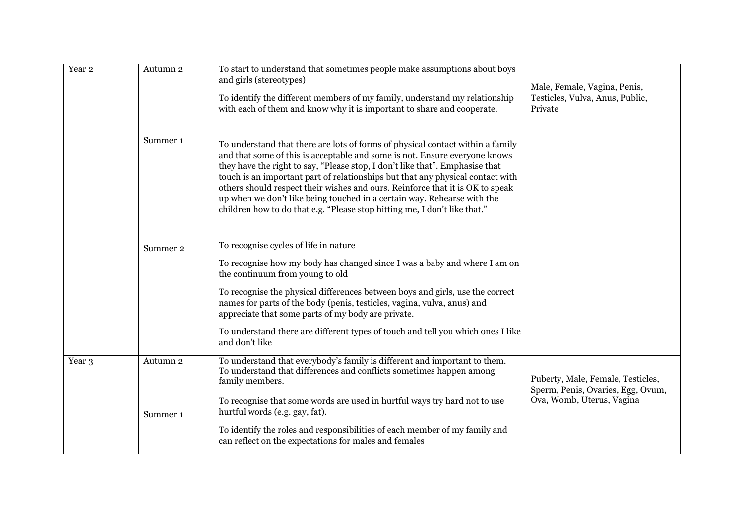| Year <sub>2</sub> | Autumn 2<br>Summer <sub>1</sub> | To start to understand that sometimes people make assumptions about boys<br>and girls (stereotypes)<br>To identify the different members of my family, understand my relationship<br>with each of them and know why it is important to share and cooperate.<br>To understand that there are lots of forms of physical contact within a family<br>and that some of this is acceptable and some is not. Ensure everyone knows<br>they have the right to say, "Please stop, I don't like that". Emphasise that<br>touch is an important part of relationships but that any physical contact with<br>others should respect their wishes and ours. Reinforce that it is OK to speak<br>up when we don't like being touched in a certain way. Rehearse with the<br>children how to do that e.g. "Please stop hitting me, I don't like that." | Male, Female, Vagina, Penis,<br>Testicles, Vulva, Anus, Public,<br>Private                          |
|-------------------|---------------------------------|----------------------------------------------------------------------------------------------------------------------------------------------------------------------------------------------------------------------------------------------------------------------------------------------------------------------------------------------------------------------------------------------------------------------------------------------------------------------------------------------------------------------------------------------------------------------------------------------------------------------------------------------------------------------------------------------------------------------------------------------------------------------------------------------------------------------------------------|-----------------------------------------------------------------------------------------------------|
|                   | Summer 2                        | To recognise cycles of life in nature<br>To recognise how my body has changed since I was a baby and where I am on<br>the continuum from young to old<br>To recognise the physical differences between boys and girls, use the correct<br>names for parts of the body (penis, testicles, vagina, vulva, anus) and<br>appreciate that some parts of my body are private.<br>To understand there are different types of touch and tell you which ones I like<br>and don't like                                                                                                                                                                                                                                                                                                                                                           |                                                                                                     |
| Year 3            | Autumn 2<br>Summer 1            | To understand that everybody's family is different and important to them.<br>To understand that differences and conflicts sometimes happen among<br>family members.<br>To recognise that some words are used in hurtful ways try hard not to use<br>hurtful words (e.g. gay, fat).<br>To identify the roles and responsibilities of each member of my family and<br>can reflect on the expectations for males and females                                                                                                                                                                                                                                                                                                                                                                                                              | Puberty, Male, Female, Testicles,<br>Sperm, Penis, Ovaries, Egg, Ovum,<br>Ova, Womb, Uterus, Vagina |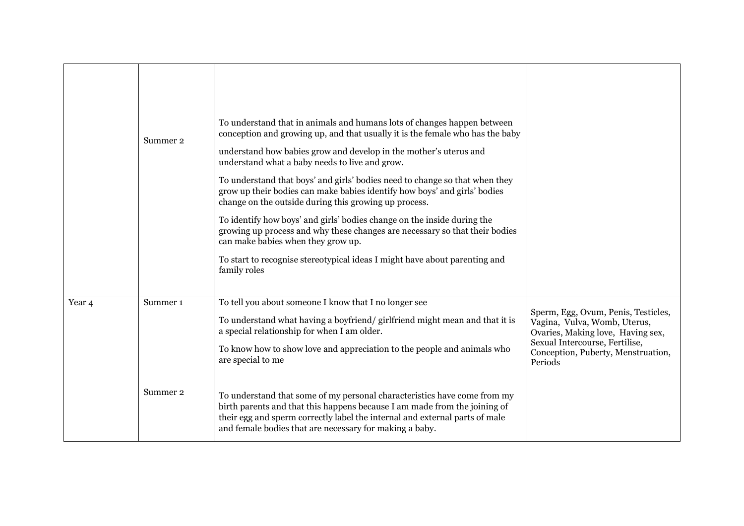|        | Summer 2                        | To understand that in animals and humans lots of changes happen between<br>conception and growing up, and that usually it is the female who has the baby<br>understand how babies grow and develop in the mother's uterus and<br>understand what a baby needs to live and grow.<br>To understand that boys' and girls' bodies need to change so that when they<br>grow up their bodies can make babies identify how boys' and girls' bodies<br>change on the outside during this growing up process.<br>To identify how boys' and girls' bodies change on the inside during the<br>growing up process and why these changes are necessary so that their bodies<br>can make babies when they grow up.<br>To start to recognise stereotypical ideas I might have about parenting and<br>family roles |                                                                                                                                                                                             |
|--------|---------------------------------|----------------------------------------------------------------------------------------------------------------------------------------------------------------------------------------------------------------------------------------------------------------------------------------------------------------------------------------------------------------------------------------------------------------------------------------------------------------------------------------------------------------------------------------------------------------------------------------------------------------------------------------------------------------------------------------------------------------------------------------------------------------------------------------------------|---------------------------------------------------------------------------------------------------------------------------------------------------------------------------------------------|
| Year 4 | Summer <sub>1</sub><br>Summer 2 | To tell you about someone I know that I no longer see<br>To understand what having a boyfriend/girlfriend might mean and that it is<br>a special relationship for when I am older.<br>To know how to show love and appreciation to the people and animals who<br>are special to me<br>To understand that some of my personal characteristics have come from my<br>birth parents and that this happens because I am made from the joining of<br>their egg and sperm correctly label the internal and external parts of male<br>and female bodies that are necessary for making a baby.                                                                                                                                                                                                              | Sperm, Egg, Ovum, Penis, Testicles,<br>Vagina, Vulva, Womb, Uterus,<br>Ovaries, Making love, Having sex,<br>Sexual Intercourse, Fertilise,<br>Conception, Puberty, Menstruation,<br>Periods |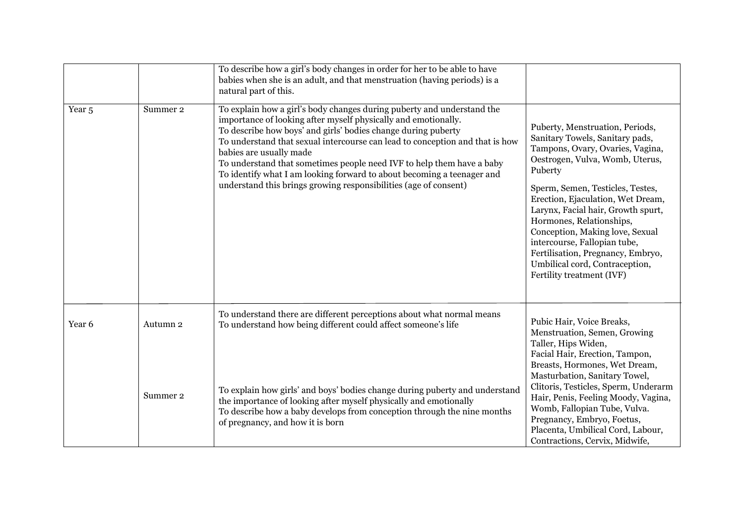|                   |          | To describe how a girl's body changes in order for her to be able to have<br>babies when she is an adult, and that menstruation (having periods) is a<br>natural part of this.                                                                                                                                                                                                                                                                                                                                                              |                                                                                                                                                                                                                                                                                                                                                                                                                                                                        |
|-------------------|----------|---------------------------------------------------------------------------------------------------------------------------------------------------------------------------------------------------------------------------------------------------------------------------------------------------------------------------------------------------------------------------------------------------------------------------------------------------------------------------------------------------------------------------------------------|------------------------------------------------------------------------------------------------------------------------------------------------------------------------------------------------------------------------------------------------------------------------------------------------------------------------------------------------------------------------------------------------------------------------------------------------------------------------|
| Year <sub>5</sub> | Summer 2 | To explain how a girl's body changes during puberty and understand the<br>importance of looking after myself physically and emotionally.<br>To describe how boys' and girls' bodies change during puberty<br>To understand that sexual intercourse can lead to conception and that is how<br>babies are usually made<br>To understand that sometimes people need IVF to help them have a baby<br>To identify what I am looking forward to about becoming a teenager and<br>understand this brings growing responsibilities (age of consent) | Puberty, Menstruation, Periods,<br>Sanitary Towels, Sanitary pads,<br>Tampons, Ovary, Ovaries, Vagina,<br>Oestrogen, Vulva, Womb, Uterus,<br>Puberty<br>Sperm, Semen, Testicles, Testes,<br>Erection, Ejaculation, Wet Dream,<br>Larynx, Facial hair, Growth spurt,<br>Hormones, Relationships,<br>Conception, Making love, Sexual<br>intercourse, Fallopian tube,<br>Fertilisation, Pregnancy, Embryo,<br>Umbilical cord, Contraception,<br>Fertility treatment (IVF) |
| Year 6            | Autumn 2 | To understand there are different perceptions about what normal means<br>To understand how being different could affect someone's life                                                                                                                                                                                                                                                                                                                                                                                                      | Pubic Hair, Voice Breaks,<br>Menstruation, Semen, Growing<br>Taller, Hips Widen,<br>Facial Hair, Erection, Tampon,                                                                                                                                                                                                                                                                                                                                                     |
|                   | Summer 2 | To explain how girls' and boys' bodies change during puberty and understand<br>the importance of looking after myself physically and emotionally<br>To describe how a baby develops from conception through the nine months<br>of pregnancy, and how it is born                                                                                                                                                                                                                                                                             | Breasts, Hormones, Wet Dream,<br>Masturbation, Sanitary Towel,<br>Clitoris, Testicles, Sperm, Underarm<br>Hair, Penis, Feeling Moody, Vagina,<br>Womb, Fallopian Tube, Vulva.<br>Pregnancy, Embryo, Foetus,<br>Placenta, Umbilical Cord, Labour,<br>Contractions, Cervix, Midwife,                                                                                                                                                                                     |